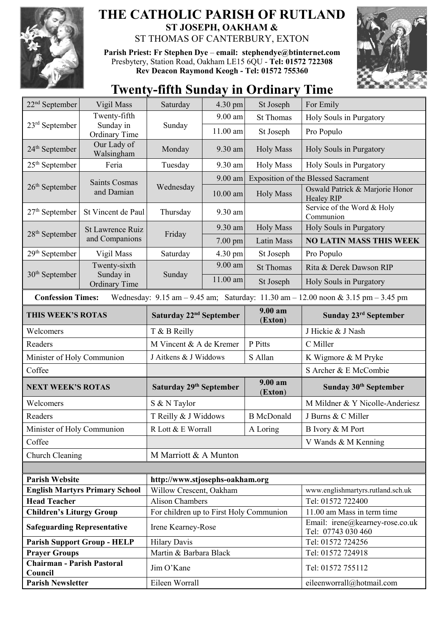

## **THE CATHOLIC PARISH OF RUTLAND ST JOSEPH, OAKHAM &**  ST THOMAS OF CANTERBURY, EXTON

**Parish Priest: Fr Stephen Dye** – **[email: stephendye@btinternet.com](mailto:email:%20%20stephendye@btinternet.com)** Presbytery, Station Road, Oakham LE15 6QU - **Tel: 01572 722308 Rev Deacon Raymond Keogh - Tel: 01572 755360**



## **Twenty-fifth Sunday in Ordinary Time**

| $22nd$ September                                                         | Vigil Mass                                        | Saturday                                 | 4.30 pm    | St Joseph                                  | For Emily                                                                                                                               |  |
|--------------------------------------------------------------------------|---------------------------------------------------|------------------------------------------|------------|--------------------------------------------|-----------------------------------------------------------------------------------------------------------------------------------------|--|
| $23rd$ September                                                         | Twenty-fifth                                      |                                          | 9.00 am    | <b>St Thomas</b>                           | Holy Souls in Purgatory                                                                                                                 |  |
|                                                                          | Sunday in<br>Ordinary Time                        | Sunday                                   | $11.00$ am | St Joseph                                  | Pro Populo                                                                                                                              |  |
| 24 <sup>th</sup> September                                               | Our Lady of<br>Walsingham                         | Monday                                   | 9.30 am    | <b>Holy Mass</b>                           | Holy Souls in Purgatory                                                                                                                 |  |
| $25th$ September                                                         | Feria                                             | Tuesday                                  | 9.30 am    | <b>Holy Mass</b>                           | Holy Souls in Purgatory                                                                                                                 |  |
|                                                                          | <b>Saints Cosmas</b>                              | Wednesday                                | 9.00 am    | <b>Exposition of the Blessed Sacrament</b> |                                                                                                                                         |  |
| $26th$ September                                                         | and Damian                                        |                                          | $10.00$ am | <b>Holy Mass</b>                           | Oswald Patrick & Marjorie Honor<br><b>Healey RIP</b>                                                                                    |  |
| $27th$ September                                                         | St Vincent de Paul                                | Thursday                                 | 9.30 am    |                                            | Service of the Word & Holy<br>Communion                                                                                                 |  |
| 28 <sup>th</sup> September                                               | St Lawrence Ruiz<br>and Companions                | Friday                                   | 9.30 am    | <b>Holy Mass</b>                           | Holy Souls in Purgatory                                                                                                                 |  |
|                                                                          |                                                   |                                          | $7.00$ pm  | Latin Mass                                 | <b>NO LATIN MASS THIS WEEK</b>                                                                                                          |  |
| 29 <sup>th</sup> September                                               | Vigil Mass                                        | Saturday                                 | 4.30 pm    | St Joseph                                  | Pro Populo                                                                                                                              |  |
|                                                                          | Twenty-sixth<br>Sunday in<br><b>Ordinary Time</b> | Sunday                                   | 9.00 am    | <b>St Thomas</b>                           | Rita & Derek Dawson RIP                                                                                                                 |  |
| $30th$ September                                                         |                                                   |                                          | 11.00 am   | St Joseph                                  | Holy Souls in Purgatory                                                                                                                 |  |
| <b>Confession Times:</b>                                                 |                                                   |                                          |            |                                            | Wednesday: $9.15 \text{ am} - 9.45 \text{ am}$ ; Saturday: $11.30 \text{ am} - 12.00 \text{ noon} \& 3.15 \text{ pm} - 3.45 \text{ pm}$ |  |
| THIS WEEK'S ROTAS                                                        |                                                   | Saturday 22 <sup>nd</sup> September      |            | $9.00 a$ m<br>(Exton)                      | Sunday 23 <sup>rd</sup> September                                                                                                       |  |
| Welcomers                                                                |                                                   | T & B Reilly                             |            |                                            | J Hickie & J Nash                                                                                                                       |  |
| Readers                                                                  |                                                   | M Vincent & A de Kremer                  |            | P Pitts                                    | C Miller                                                                                                                                |  |
| Minister of Holy Communion                                               |                                                   | J Aitkens & J Widdows                    |            | S Allan                                    | K Wigmore & M Pryke                                                                                                                     |  |
| Coffee                                                                   |                                                   |                                          |            |                                            | S Archer & E McCombie                                                                                                                   |  |
| <b>NEXT WEEK'S ROTAS</b>                                                 |                                                   | Saturday 29 <sup>th</sup> September      |            | 9.00 am<br>(Exton)                         | Sunday 30 <sup>th</sup> September                                                                                                       |  |
| Welcomers                                                                |                                                   | S & N Taylor                             |            |                                            | M Mildner & Y Nicolle-Anderiesz                                                                                                         |  |
| Readers                                                                  |                                                   | T Reilly & J Widdows                     |            | <b>B</b> McDonald                          | J Burns & C Miller                                                                                                                      |  |
| Minister of Holy Communion                                               |                                                   | R Lott & E Worrall<br>$\mathbf A$ Loring |            | B Ivory & M Port                           |                                                                                                                                         |  |
| Coffee                                                                   |                                                   |                                          |            |                                            | V Wands & M Kenning                                                                                                                     |  |
| Church Cleaning                                                          |                                                   | M Marriott & A Munton                    |            |                                            |                                                                                                                                         |  |
|                                                                          |                                                   |                                          |            |                                            |                                                                                                                                         |  |
| <b>Parish Website</b>                                                    |                                                   | http://www.stjosephs-oakham.org          |            |                                            |                                                                                                                                         |  |
| <b>English Martyrs Primary School</b>                                    |                                                   | Willow Crescent, Oakham                  |            |                                            | www.englishmartyrs.rutland.sch.uk                                                                                                       |  |
| <b>Head Teacher</b>                                                      |                                                   | <b>Alison Chambers</b>                   |            |                                            | Tel: 01572 722400                                                                                                                       |  |
| <b>Children's Liturgy Group</b>                                          |                                                   | For children up to First Holy Communion  |            |                                            | 11.00 am Mass in term time                                                                                                              |  |
| <b>Safeguarding Representative</b>                                       |                                                   | Irene Kearney-Rose                       |            |                                            | Email: irene@kearney-rose.co.uk                                                                                                         |  |
|                                                                          |                                                   |                                          |            |                                            | Tel: 07743 030 460                                                                                                                      |  |
|                                                                          | <b>Parish Support Group - HELP</b>                | <b>Hilary Davis</b>                      |            |                                            | Tel: 01572 724256                                                                                                                       |  |
| <b>Prayer Groups</b>                                                     |                                                   | Martin & Barbara Black                   |            |                                            | Tel: 01572 724918                                                                                                                       |  |
| <b>Chairman - Parish Pastoral</b><br>Council<br><b>Parish Newsletter</b> |                                                   | Jim O'Kane<br>Eileen Worrall             |            |                                            | Tel: 01572 755112<br>eileenworrall@hotmail.com                                                                                          |  |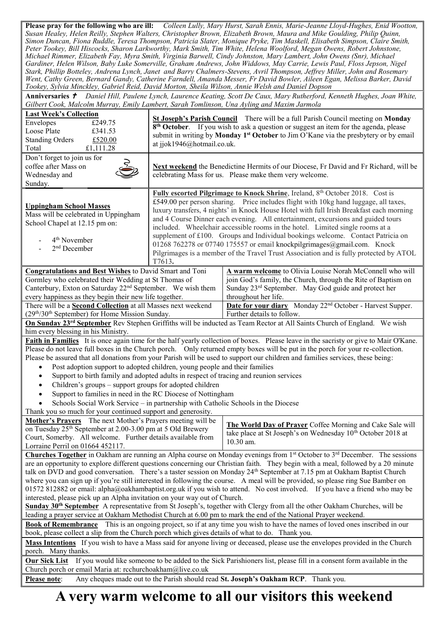**Please pray for the following who are ill:** *Colleen Lully, Mary Hurst, Sarah Ennis, Marie-Jeanne Lloyd-Hughes, Enid Wootton, Susan Healey, Helen Reilly, Stephen Walters, Christopher Brown, Elizabeth Brown, Maura and Mike Goulding, Philip Quinn, Simon Duncan, Fiona Ruddle, Teresa Thompson, Patricia Slater, Monique Pryke, Tim Maskell, Elisabeth Simpson, Claire Smith, Peter Tookey, Bill Hiscocks, Sharon Larkworthy, Mark Smith, Tim White, Helena Woolford, Megan Owens, Robert Johnstone, Michael Rimmer, Elizabeth Fay, Myra Smith, Virginia Barwell, Cindy Johnston, Mary Lambert, John Owens (Snr), Michael Gardiner, Helen Wilson, Baby Luke Somerville, Graham Andrews, John Widdows, May Carrie, Lewis Paul, Floss Jepson, Nigel Stark, Phillip Botteley, Andrena Lynch, Janet and Barry Chalmers-Stevens, Avril Thompson, Jeffrey Miller, John and Rosemary Went, Cathy Green, Bernard Gandy, Catherine Farndell, Amanda Messer, Fr David Bowler, Aileen Egan, Melissa Barker, David Tookey, Sylvia Minckley, Gabriel Reid, David Morton, Sheila Wilson, Annie Welsh and Daniel Dopson*

**Anniversaries**  *Daniel Hill, Paulene Lynch, Laurence Keating, Scott De Caux, Mary Rutherford, Kenneth Hughes, Joan White, Gilbert Cook, Malcolm Murray, Emily Lambert, Sarah Tomlinson, Una Ayling and Maxim Jarmola*

| <b>Last Week's Collection</b><br>£249.75<br>Envelopes<br>Loose Plate<br>£341.53<br><b>Standing Orders</b><br>£520.00<br>Total<br>£1,111.28                                                                                                                                                                                                                                                                                                                                                                                                                                                                                                                                                                                                                                                                                                                                                                                                                                                                                              | St Joseph's Parish Council There will be a full Parish Council meeting on Monday<br>8 <sup>th</sup> October. If you wish to ask a question or suggest an item for the agenda, please<br>submit in writing by Monday 1 <sup>st</sup> October to Jim O'Kane via the presbytery or by email<br>at jjok1946@hotmail.co.uk.                                                                                                                                                                                                                                                                              |                                                                                                                                                                                                           |  |  |  |  |
|-----------------------------------------------------------------------------------------------------------------------------------------------------------------------------------------------------------------------------------------------------------------------------------------------------------------------------------------------------------------------------------------------------------------------------------------------------------------------------------------------------------------------------------------------------------------------------------------------------------------------------------------------------------------------------------------------------------------------------------------------------------------------------------------------------------------------------------------------------------------------------------------------------------------------------------------------------------------------------------------------------------------------------------------|-----------------------------------------------------------------------------------------------------------------------------------------------------------------------------------------------------------------------------------------------------------------------------------------------------------------------------------------------------------------------------------------------------------------------------------------------------------------------------------------------------------------------------------------------------------------------------------------------------|-----------------------------------------------------------------------------------------------------------------------------------------------------------------------------------------------------------|--|--|--|--|
| Don't forget to join us for<br>coffee after Mass on<br>Wednesday and<br>Sunday.                                                                                                                                                                                                                                                                                                                                                                                                                                                                                                                                                                                                                                                                                                                                                                                                                                                                                                                                                         |                                                                                                                                                                                                                                                                                                                                                                                                                                                                                                                                                                                                     | Next weekend the Benedictine Hermits of our Diocese, Fr David and Fr Richard, will be<br>celebrating Mass for us. Please make them very welcome.                                                          |  |  |  |  |
| <b>Uppingham School Masses</b><br>Mass will be celebrated in Uppingham<br>School Chapel at 12.15 pm on:<br>4 <sup>th</sup> November<br>$2nd$ December                                                                                                                                                                                                                                                                                                                                                                                                                                                                                                                                                                                                                                                                                                                                                                                                                                                                                   | Fully escorted Pilgrimage to Knock Shrine, Ireland, 8th October 2018. Cost is<br>£549.00 per person sharing. Price includes flight with 10kg hand luggage, all taxes,<br>luxury transfers, 4 nights' in Knock House Hotel with full Irish Breakfast each morning<br>and 4 Course Dinner each evening. All entertainment, excursions and guided tours<br>included. Wheelchair accessible rooms in the hotel. Limited single rooms at a<br>supplement of £100. Groups and Individual bookings welcome. Contact Patricia on<br>01268 762278 or 07740 175557 or email knockpilgrimages@gmail.com. Knock |                                                                                                                                                                                                           |  |  |  |  |
|                                                                                                                                                                                                                                                                                                                                                                                                                                                                                                                                                                                                                                                                                                                                                                                                                                                                                                                                                                                                                                         | Pilgrimages is a member of the Travel Trust Association and is fully protected by ATOL<br>T7613.                                                                                                                                                                                                                                                                                                                                                                                                                                                                                                    |                                                                                                                                                                                                           |  |  |  |  |
| <b>Congratulations and Best Wishes to David Smart and Toni</b><br>Gormley who celebrated their Wedding at St Thomas of<br>Canterbury, Exton on Saturday 22 <sup>nd</sup> September. We wish them<br>every happiness as they begin their new life together.                                                                                                                                                                                                                                                                                                                                                                                                                                                                                                                                                                                                                                                                                                                                                                              |                                                                                                                                                                                                                                                                                                                                                                                                                                                                                                                                                                                                     | A warm welcome to Olivia Louise Norah McConnell who will<br>join God's family, the Church, through the Rite of Baptism on<br>Sunday 23rd September. May God guide and protect her<br>throughout her life. |  |  |  |  |
| There will be a Second Collection at all Masses next weekend<br>(29 <sup>th</sup> /30 <sup>th</sup> September) for Home Mission Sunday.                                                                                                                                                                                                                                                                                                                                                                                                                                                                                                                                                                                                                                                                                                                                                                                                                                                                                                 |                                                                                                                                                                                                                                                                                                                                                                                                                                                                                                                                                                                                     | Date for your diary Monday 22 <sup>nd</sup> October - Harvest Supper.<br>Further details to follow.                                                                                                       |  |  |  |  |
| On Sunday 23 <sup>rd</sup> September Rev Stephen Griffiths will be inducted as Team Rector at All Saints Church of England. We wish                                                                                                                                                                                                                                                                                                                                                                                                                                                                                                                                                                                                                                                                                                                                                                                                                                                                                                     |                                                                                                                                                                                                                                                                                                                                                                                                                                                                                                                                                                                                     |                                                                                                                                                                                                           |  |  |  |  |
| him every blessing in his Ministry.<br>Faith in Families It is once again time for the half yearly collection of boxes. Please leave in the sacristy or give to Mair O'Kane.<br>Please do not leave full boxes in the Church porch. Only returned empty boxes will be put in the porch for your re-collection.<br>Please be assured that all donations from your Parish will be used to support our children and families services, these being:<br>Post adoption support to adopted children, young people and their families<br>Support to birth family and adopted adults in respect of tracing and reunion services<br>٠<br>Children's groups – support groups for adopted children<br>$\bullet$<br>Support to families in need in the RC Diocese of Nottingham<br>$\bullet$<br>Schools Social Work Service – in partnership with Catholic Schools in the Diocese<br>$\bullet$<br>Thank you so much for your continued support and generosity.                                                                                      |                                                                                                                                                                                                                                                                                                                                                                                                                                                                                                                                                                                                     |                                                                                                                                                                                                           |  |  |  |  |
| Mother's Prayers The next Mother's Prayers meeting will be<br>on Tuesday 25 <sup>th</sup> September at 2.00-3.00 pm at 5 Old Brewery<br>Court, Somerby. All welcome. Further details available from<br>Lorraine Perril on 01664 452117.                                                                                                                                                                                                                                                                                                                                                                                                                                                                                                                                                                                                                                                                                                                                                                                                 |                                                                                                                                                                                                                                                                                                                                                                                                                                                                                                                                                                                                     | The World Day of Prayer Coffee Morning and Cake Sale will<br>take place at St Joseph's on Wednesday 10 <sup>th</sup> October 2018 at<br>10.30 am.                                                         |  |  |  |  |
| Churches Together in Oakham are running an Alpha course on Monday evenings from 1 <sup>st</sup> October to 3 <sup>rd</sup> December. The sessions<br>are an opportunity to explore different questions concerning our Christian faith. They begin with a meal, followed by a 20 minute<br>talk on DVD and good conversation. There's a taster session on Monday 24 <sup>th</sup> September at 7.15 pm at Oakham Baptist Church<br>where you can sign up if you're still interested in following the course. A meal will be provided, so please ring Sue Bamber on<br>01572 812882 or email: alpha@oakhambaptist.org.uk if you wish to attend. No cost involved. If you have a friend who may be<br>interested, please pick up an Alpha invitation on your way out of Church.<br>Sunday 30 <sup>th</sup> September A representative from St Joseph's, together with Clergy from all the other Oakham Churches, will be<br>leading a prayer service at Oakham Methodist Church at 6.00 pm to mark the end of the National Prayer weekend. |                                                                                                                                                                                                                                                                                                                                                                                                                                                                                                                                                                                                     |                                                                                                                                                                                                           |  |  |  |  |
| <b>Book of Remembrance</b> This is an ongoing project, so if at any time you wish to have the names of loved ones inscribed in our<br>book, please collect a slip from the Church porch which gives details of what to do. Thank you.                                                                                                                                                                                                                                                                                                                                                                                                                                                                                                                                                                                                                                                                                                                                                                                                   |                                                                                                                                                                                                                                                                                                                                                                                                                                                                                                                                                                                                     |                                                                                                                                                                                                           |  |  |  |  |
| Mass Intentions If you wish to have a Mass said for anyone living or deceased, please use the envelopes provided in the Church<br>porch. Many thanks.                                                                                                                                                                                                                                                                                                                                                                                                                                                                                                                                                                                                                                                                                                                                                                                                                                                                                   |                                                                                                                                                                                                                                                                                                                                                                                                                                                                                                                                                                                                     |                                                                                                                                                                                                           |  |  |  |  |
| Our Sick List If you would like someone to be added to the Sick Parishioners list, please fill in a consent form available in the                                                                                                                                                                                                                                                                                                                                                                                                                                                                                                                                                                                                                                                                                                                                                                                                                                                                                                       |                                                                                                                                                                                                                                                                                                                                                                                                                                                                                                                                                                                                     |                                                                                                                                                                                                           |  |  |  |  |
| Church porch or email Maria at: rcchurchoakham@live.co.uk<br>Any cheques made out to the Parish should read St. Joseph's Oakham RCP. Thank you.<br>Please note:                                                                                                                                                                                                                                                                                                                                                                                                                                                                                                                                                                                                                                                                                                                                                                                                                                                                         |                                                                                                                                                                                                                                                                                                                                                                                                                                                                                                                                                                                                     |                                                                                                                                                                                                           |  |  |  |  |
|                                                                                                                                                                                                                                                                                                                                                                                                                                                                                                                                                                                                                                                                                                                                                                                                                                                                                                                                                                                                                                         |                                                                                                                                                                                                                                                                                                                                                                                                                                                                                                                                                                                                     |                                                                                                                                                                                                           |  |  |  |  |

**A very warm welcome to all our visitors this weekend**